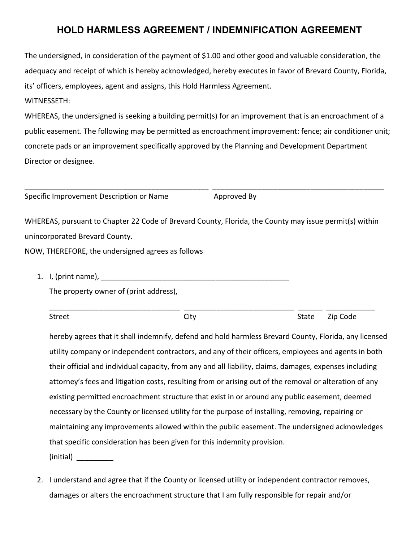## **HOLD HARMLESS AGREEMENT / INDEMNIFICATION AGREEMENT**

The undersigned, in consideration of the payment of \$1.00 and other good and valuable consideration, the adequacy and receipt of which is hereby acknowledged, hereby executes in favor of Brevard County, Florida, its' officers, employees, agent and assigns, this Hold Harmless Agreement.

## WITNESSETH:

WHEREAS, the undersigned is seeking a building permit(s) for an improvement that is an encroachment of a public easement. The following may be permitted as encroachment improvement: fence; air conditioner unit; concrete pads or an improvement specifically approved by the Planning and Development Department Director or designee.

Specific Improvement Description or Name Approved By

WHEREAS, pursuant to Chapter 22 Code of Brevard County, Florida, the County may issue permit(s) within unincorporated Brevard County.

\_\_\_\_\_\_\_\_\_\_\_\_\_\_\_\_\_\_\_\_\_\_\_\_\_\_\_\_\_\_\_\_\_\_\_\_\_\_\_\_\_\_\_\_\_ \_\_\_\_\_\_\_\_\_\_\_\_\_\_\_\_\_\_\_\_\_\_\_\_\_\_\_\_\_\_\_\_\_\_\_\_\_\_\_\_\_\_

NOW, THEREFORE, the undersigned agrees as follows

1. I, (print name), \_\_\_\_\_\_\_\_\_\_\_\_\_\_\_\_\_\_\_\_\_\_\_\_\_\_\_\_\_\_\_\_\_\_\_\_\_\_\_\_\_\_\_\_\_\_

The property owner of (print address),

\_\_\_\_\_\_\_\_\_\_\_\_\_\_\_\_\_\_\_\_\_\_\_\_\_\_\_\_\_\_\_\_ \_\_\_\_\_\_\_\_\_\_\_\_\_\_\_\_\_\_\_\_\_\_\_\_\_\_\_ \_\_\_\_\_\_ \_\_\_\_\_\_\_\_\_\_\_\_ Street City City City State Zip Code

hereby agrees that it shall indemnify, defend and hold harmless Brevard County, Florida, any licensed utility company or independent contractors, and any of their officers, employees and agents in both their official and individual capacity, from any and all liability, claims, damages, expenses including attorney's fees and litigation costs, resulting from or arising out of the removal or alteration of any existing permitted encroachment structure that exist in or around any public easement, deemed necessary by the County or licensed utility for the purpose of installing, removing, repairing or maintaining any improvements allowed within the public easement. The undersigned acknowledges that specific consideration has been given for this indemnity provision.  $(inicial)$ 

2. I understand and agree that if the County or licensed utility or independent contractor removes, damages or alters the encroachment structure that I am fully responsible for repair and/or